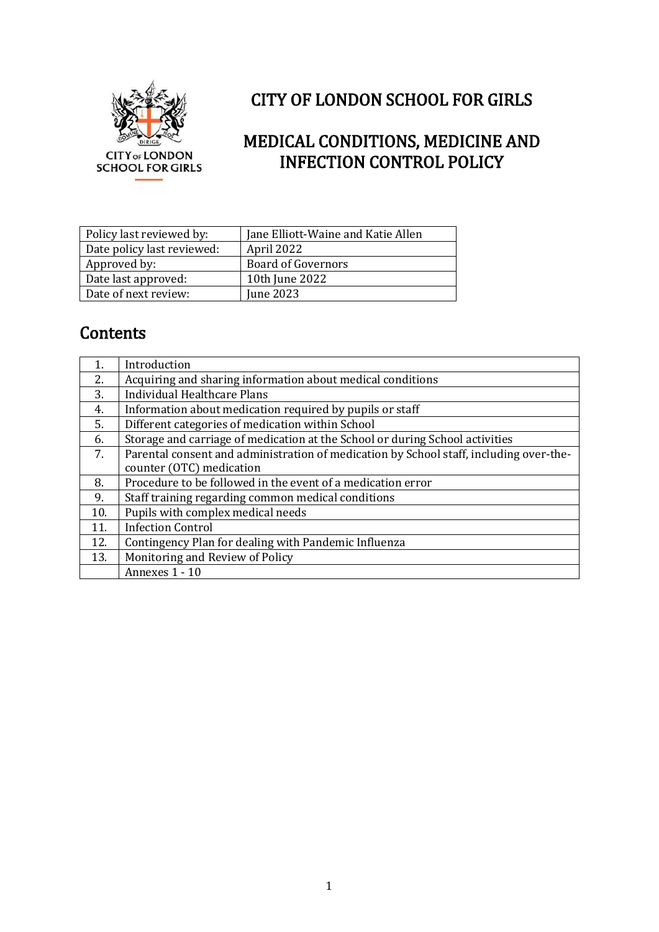

## CITY OF LONDON SCHOOL FOR GIRLS

## MEDICAL CONDITIONS, MEDICINE AND INFECTION CONTROL POLICY

| Policy last reviewed by:   | Jane Elliott-Waine and Katie Allen |
|----------------------------|------------------------------------|
| Date policy last reviewed: | April 2022                         |
| Approved by:               | <b>Board of Governors</b>          |
| Date last approved:        | 10th June 2022                     |
| Date of next review:       | June 2023                          |

## **Contents**

|     | Introduction                                                                           |
|-----|----------------------------------------------------------------------------------------|
| 2.  | Acquiring and sharing information about medical conditions                             |
| 3.  | <b>Individual Healthcare Plans</b>                                                     |
| 4.  | Information about medication required by pupils or staff                               |
| 5.  | Different categories of medication within School                                       |
| 6.  | Storage and carriage of medication at the School or during School activities           |
| 7.  | Parental consent and administration of medication by School staff, including over-the- |
|     | counter (OTC) medication                                                               |
| 8.  | Procedure to be followed in the event of a medication error                            |
| 9.  | Staff training regarding common medical conditions                                     |
| 10. | Pupils with complex medical needs                                                      |
| 11. | <b>Infection Control</b>                                                               |
| 12. | Contingency Plan for dealing with Pandemic Influenza                                   |
| 13. | Monitoring and Review of Policy                                                        |
|     | Annexes 1 - 10                                                                         |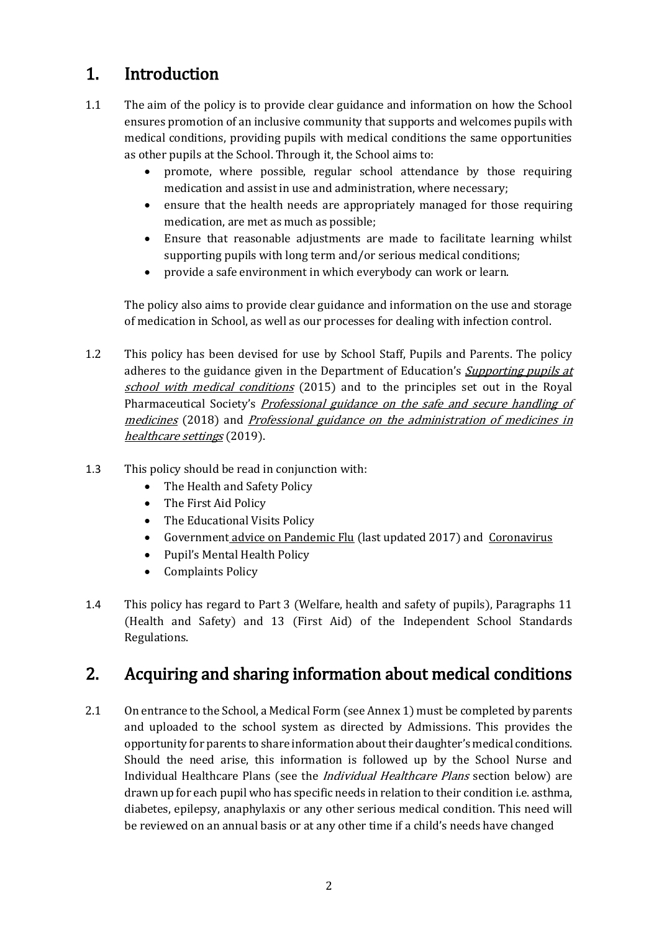## 1. Introduction

- 1.1 The aim of the policy is to provide clear guidance and information on how the School ensures promotion of an inclusive community that supports and welcomes pupils with medical conditions, providing pupils with medical conditions the same opportunities as other pupils at the School. Through it, the School aims to:
	- promote, where possible, regular school attendance by those requiring medication and assist in use and administration, where necessary;
	- ensure that the health needs are appropriately managed for those requiring medication, are met as much as possible;
	- Ensure that reasonable adjustments are made to facilitate learning whilst supporting pupils with long term and/or serious medical conditions;
	- provide a safe environment in which everybody can work or learn.

The policy also aims to provide clear guidance and information on the use and storage of medication in School, as well as our processes for dealing with infection control.

- 1.2 This policy has been devised for use by School Staff, Pupils and Parents. The policy adheres to the guidance given in the Department of Education's *Supporting pupils at* [school with medical conditions](https://www.gov.uk/government/publications/supporting-pupils-at-school-with-medical-conditions--3) (2015) and to the principles set out in the Royal Pharmaceutical Society's *Professional guidance on the safe and secure handling of* [medicines](https://www.rpharms.com/recognition/setting-professional-standards/safe-and-secure-handling-of-medicines/professional-guidance-on-the-safe-and-secure-handling-of-medicines) (2018) and [Professional guidance on the administration of medicines in](https://www.rpharms.com/Portals/0/RPS%20document%20library/Open%20access/Professional%20standards/SSHM%20and%20Admin/Admin%20of%20Meds%20prof%20guidance.pdf?ver=2019-01-23-145026-567)  [healthcare settings](https://www.rpharms.com/Portals/0/RPS%20document%20library/Open%20access/Professional%20standards/SSHM%20and%20Admin/Admin%20of%20Meds%20prof%20guidance.pdf?ver=2019-01-23-145026-567) (2019).
- 1.3 This policy should be read in conjunction with:
	- The Health and Safety Policy
	- The First Aid Policy
	- The Educational Visits Policy
	- Government [advice on Pandemic Flu](https://www.gov.uk/guidance/pandemic-flu) (last updated 2017) and [Coronavirus](https://www.gov.uk/coronavirus)
	- Pupil's Mental Health Policy
	- Complaints Policy
- 1.4 This policy has regard to Part 3 (Welfare, health and safety of pupils), Paragraphs 11 (Health and Safety) and 13 (First Aid) of the Independent School Standards Regulations.

### 2. Acquiring and sharing information about medical conditions

2.1 On entrance to the School, a Medical Form (see Annex 1) must be completed by parents and uploaded to the school system as directed by Admissions. This provides the opportunity for parents to share information about their daughter's medical conditions. Should the need arise, this information is followed up by the School Nurse and Individual Healthcare Plans (see the *Individual Healthcare Plans* section below) are drawn up for each pupil who has specific needs in relation to their condition i.e. asthma, diabetes, epilepsy, anaphylaxis or any other serious medical condition. This need will be reviewed on an annual basis or at any other time if a child's needs have changed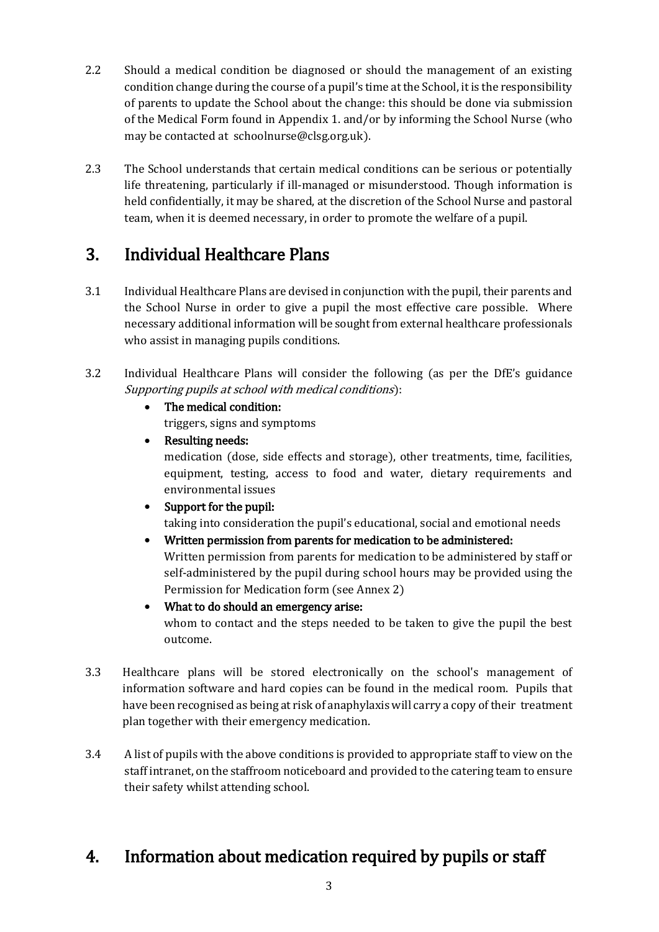- 2.2 Should a medical condition be diagnosed or should the management of an existing condition change during the course of a pupil's time at the School, it is the responsibility of parents to update the School about the change: this should be done via submission of the Medical Form found in Appendix 1. and/or by informing the School Nurse (who may be contacted at schoolnurse@clsg.org.uk).
- 2.3 The School understands that certain medical conditions can be serious or potentially life threatening, particularly if ill-managed or misunderstood. Though information is held confidentially, it may be shared, at the discretion of the School Nurse and pastoral team, when it is deemed necessary, in order to promote the welfare of a pupil.

## 3. Individual Healthcare Plans

- 3.1 Individual Healthcare Plans are devised in conjunction with the pupil, their parents and the School Nurse in order to give a pupil the most effective care possible. Where necessary additional information will be sought from external healthcare professionals who assist in managing pupils conditions.
- 3.2 Individual Healthcare Plans will consider the following (as per the DfE's guidance Supporting pupils at school with medical conditions):
	- The medical condition: triggers, signs and symptoms
	- Resulting needs: medication (dose, side effects and storage), other treatments, time, facilities, equipment, testing, access to food and water, dietary requirements and environmental issues
	- Support for the pupil: taking into consideration the pupil's educational, social and emotional needs
	- Written permission from parents for medication to be administered: Written permission from parents for medication to be administered by staff or self-administered by the pupil during school hours may be provided using the Permission for Medication form (see Annex 2)
	- What to do should an emergency arise: whom to contact and the steps needed to be taken to give the pupil the best outcome.
- 3.3 Healthcare plans will be stored electronically on the school's management of information software and hard copies can be found in the medical room. Pupils that have been recognised as being at risk of anaphylaxis will carry a copy of their treatment plan together with their emergency medication.
- 3.4 A list of pupils with the above conditions is provided to appropriate staff to view on the staff intranet, on the staffroom noticeboard and provided to the catering team to ensure their safety whilst attending school.

## 4. Information about medication required by pupils or staff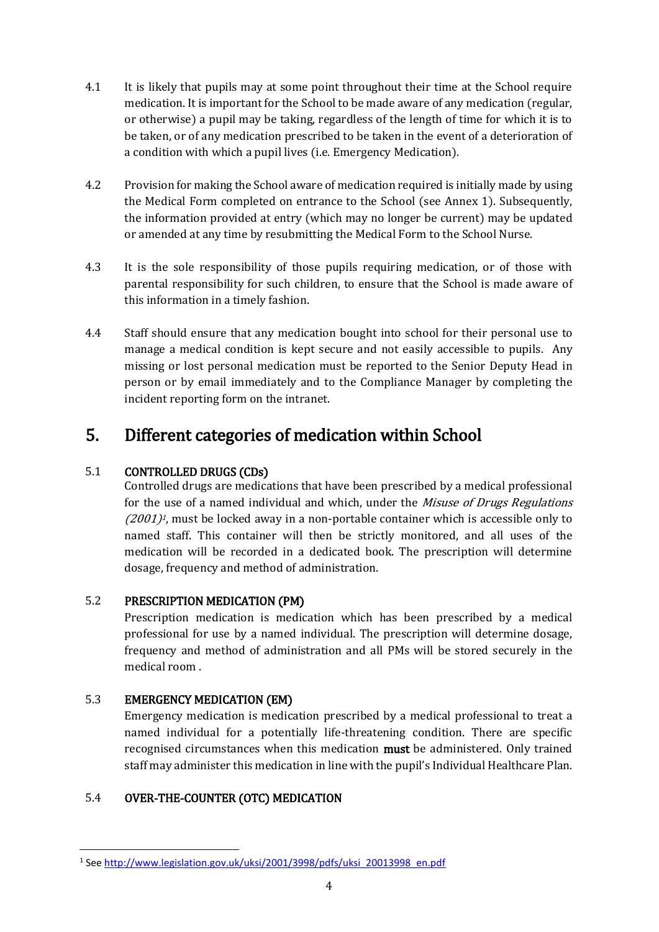- 4.1 It is likely that pupils may at some point throughout their time at the School require medication. It is important for the School to be made aware of any medication (regular, or otherwise) a pupil may be taking, regardless of the length of time for which it is to be taken, or of any medication prescribed to be taken in the event of a deterioration of a condition with which a pupil lives (i.e. Emergency Medication).
- 4.2 Provision for making the School aware of medication required is initially made by using the Medical Form completed on entrance to the School (see Annex 1). Subsequently, the information provided at entry (which may no longer be current) may be updated or amended at any time by resubmitting the Medical Form to the School Nurse.
- 4.3 It is the sole responsibility of those pupils requiring medication, or of those with parental responsibility for such children, to ensure that the School is made aware of this information in a timely fashion.
- 4.4 Staff should ensure that any medication bought into school for their personal use to manage a medical condition is kept secure and not easily accessible to pupils. Any missing or lost personal medication must be reported to the Senior Deputy Head in person or by email immediately and to the Compliance Manager by completing the incident reporting form on the intranet.

### 5. Different categories of medication within School

### 5.1 CONTROLLED DRUGS (CDs)

Controlled drugs are medications that have been prescribed by a medical professional for the use of a named individual and which, under the *Misuse of Drugs Regulations*  $(2001)^{1}$ , must be locked away in a non-portable container which is accessible only to named staff. This container will then be strictly monitored, and all uses of the medication will be recorded in a dedicated book. The prescription will determine dosage, frequency and method of administration.

### 5.2 PRESCRIPTION MEDICATION (PM)

Prescription medication is medication which has been prescribed by a medical professional for use by a named individual. The prescription will determine dosage, frequency and method of administration and all PMs will be stored securely in the medical room .

### 5.3 EMERGENCY MEDICATION (EM)

**.** 

Emergency medication is medication prescribed by a medical professional to treat a named individual for a potentially life-threatening condition. There are specific recognised circumstances when this medication **must** be administered. Only trained staff may administer this medication in line with the pupil's Individual Healthcare Plan.

### 5.4 OVER-THE-COUNTER (OTC) MEDICATION

<sup>&</sup>lt;sup>1</sup>See [http://www.legislation.gov.uk/uksi/2001/3998/pdfs/uksi\\_20013998\\_en.pdf](http://www.legislation.gov.uk/uksi/2001/3998/pdfs/uksi_20013998_en.pdf)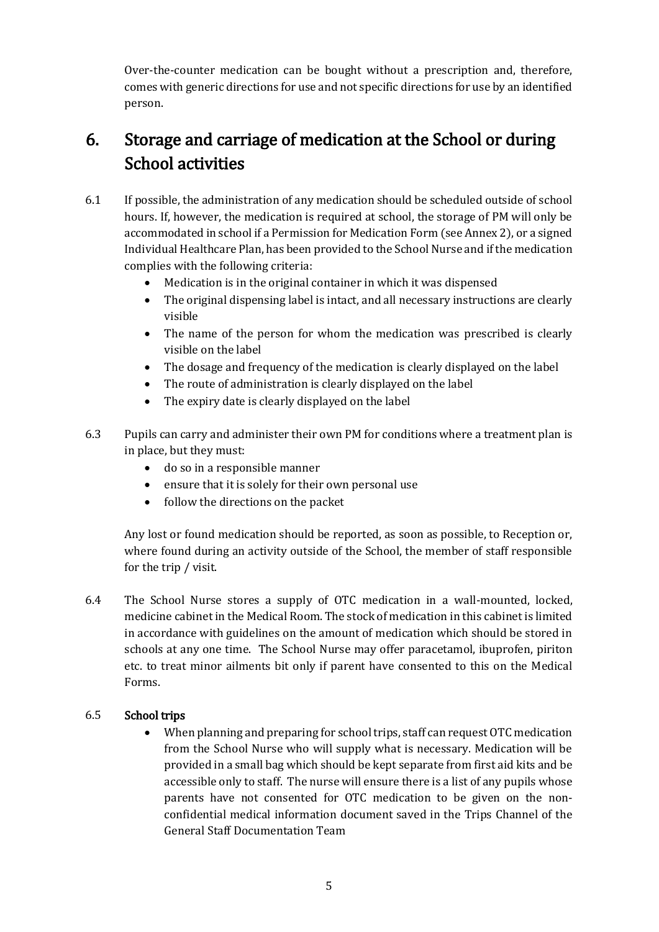Over-the-counter medication can be bought without a prescription and, therefore, comes with generic directions for use and not specific directions for use by an identified person.

## 6. Storage and carriage of medication at the School or during School activities

- 6.1 If possible, the administration of any medication should be scheduled outside of school hours. If, however, the medication is required at school, the storage of PM will only be accommodated in school if a Permission for Medication Form (see Annex 2), or a signed Individual Healthcare Plan, has been provided to the School Nurse and if the medication complies with the following criteria:
	- Medication is in the original container in which it was dispensed
	- The original dispensing label is intact, and all necessary instructions are clearly visible
	- The name of the person for whom the medication was prescribed is clearly visible on the label
	- The dosage and frequency of the medication is clearly displayed on the label
	- The route of administration is clearly displayed on the label
	- The expiry date is clearly displayed on the label
- 6.3 Pupils can carry and administer their own PM for conditions where a treatment plan is in place, but they must:
	- do so in a responsible manner
	- ensure that it is solely for their own personal use
	- follow the directions on the packet

Any lost or found medication should be reported, as soon as possible, to Reception or, where found during an activity outside of the School, the member of staff responsible for the trip / visit.

6.4 The School Nurse stores a supply of OTC medication in a wall-mounted, locked, medicine cabinet in the Medical Room. The stock of medication in this cabinet is limited in accordance with guidelines on the amount of medication which should be stored in schools at any one time. The School Nurse may offer paracetamol, ibuprofen, piriton etc. to treat minor ailments bit only if parent have consented to this on the Medical Forms.

#### 6.5 School trips

 When planning and preparing for school trips, staff can request OTC medication from the School Nurse who will supply what is necessary. Medication will be provided in a small bag which should be kept separate from first aid kits and be accessible only to staff. The nurse will ensure there is a list of any pupils whose parents have not consented for OTC medication to be given on the nonconfidential medical information document saved in the Trips Channel of the General Staff Documentation Team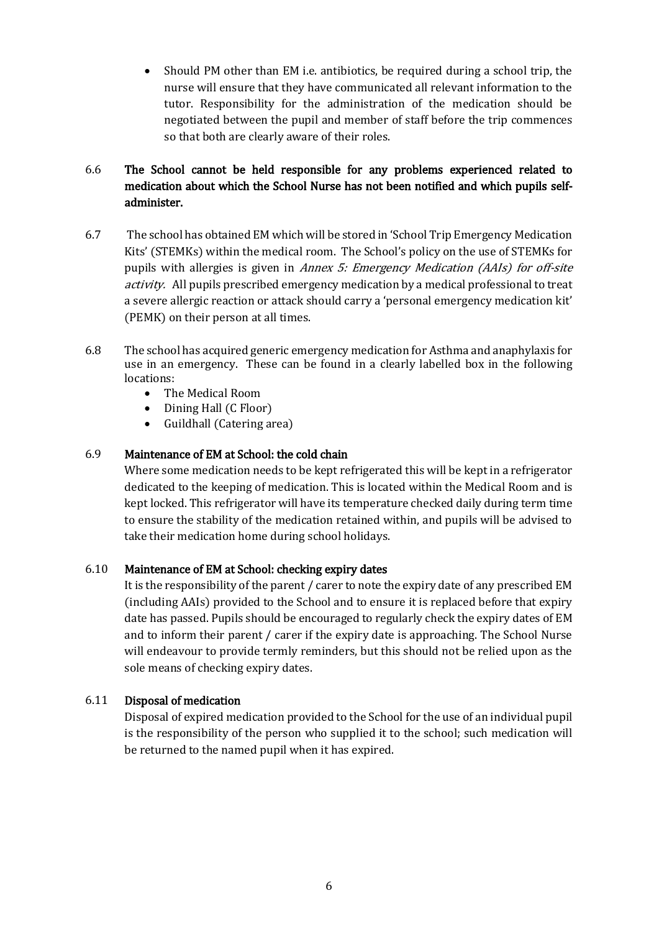Should PM other than EM i.e. antibiotics, be required during a school trip, the nurse will ensure that they have communicated all relevant information to the tutor. Responsibility for the administration of the medication should be negotiated between the pupil and member of staff before the trip commences so that both are clearly aware of their roles.

### 6.6 The School cannot be held responsible for any problems experienced related to medication about which the School Nurse has not been notified and which pupils selfadminister.

- 6.7 The school has obtained EM which will be stored in 'School Trip Emergency Medication Kits' (STEMKs) within the medical room. The School's policy on the use of STEMKs for pupils with allergies is given in Annex 5: Emergency Medication (AAIs) for off-site activity. All pupils prescribed emergency medication by a medical professional to treat a severe allergic reaction or attack should carry a 'personal emergency medication kit' (PEMK) on their person at all times.
- 6.8 The school has acquired generic emergency medication for Asthma and anaphylaxis for use in an emergency. These can be found in a clearly labelled box in the following locations:
	- The Medical Room
	- Dining Hall (C Floor)
	- Guildhall (Catering area)

#### 6.9 Maintenance of EM at School: the cold chain

Where some medication needs to be kept refrigerated this will be kept in a refrigerator dedicated to the keeping of medication. This is located within the Medical Room and is kept locked. This refrigerator will have its temperature checked daily during term time to ensure the stability of the medication retained within, and pupils will be advised to take their medication home during school holidays.

#### 6.10 Maintenance of EM at School: checking expiry dates

It is the responsibility of the parent / carer to note the expiry date of any prescribed EM (including AAIs) provided to the School and to ensure it is replaced before that expiry date has passed. Pupils should be encouraged to regularly check the expiry dates of EM and to inform their parent / carer if the expiry date is approaching. The School Nurse will endeavour to provide termly reminders, but this should not be relied upon as the sole means of checking expiry dates.

#### 6.11 Disposal of medication

Disposal of expired medication provided to the School for the use of an individual pupil is the responsibility of the person who supplied it to the school; such medication will be returned to the named pupil when it has expired.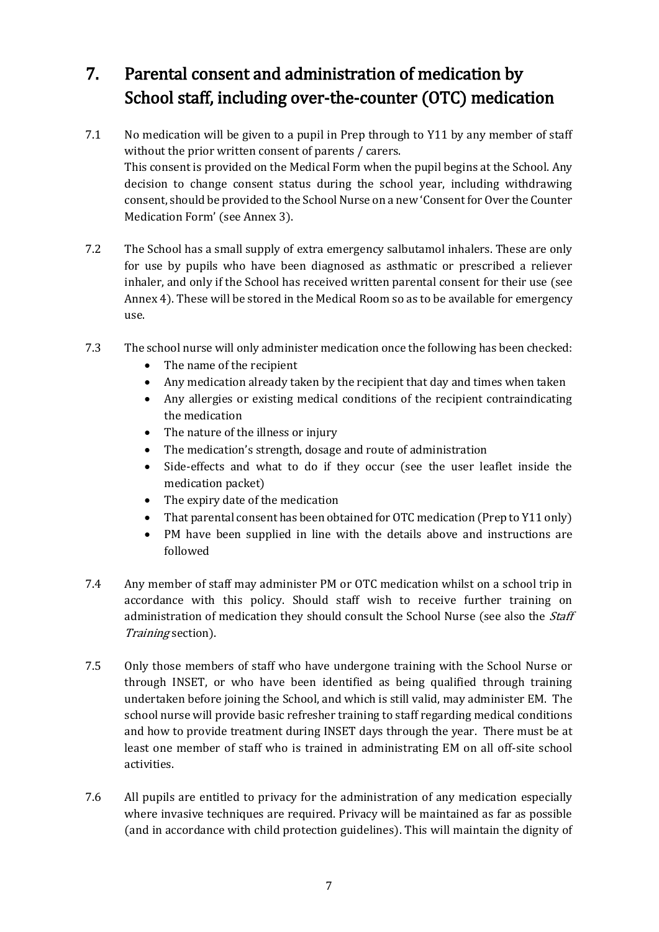## 7. Parental consent and administration of medication by School staff, including over-the-counter (OTC) medication

- 7.1 No medication will be given to a pupil in Prep through to Y11 by any member of staff without the prior written consent of parents / carers. This consent is provided on the Medical Form when the pupil begins at the School. Any decision to change consent status during the school year, including withdrawing consent, should be provided to the School Nurse on a new 'Consent for Over the Counter Medication Form' (see Annex 3).
- 7.2 The School has a small supply of extra emergency salbutamol inhalers. These are only for use by pupils who have been diagnosed as asthmatic or prescribed a reliever inhaler, and only if the School has received written parental consent for their use (see Annex 4). These will be stored in the Medical Room so as to be available for emergency use.
- 7.3 The school nurse will only administer medication once the following has been checked:
	- The name of the recipient
	- Any medication already taken by the recipient that day and times when taken
	- Any allergies or existing medical conditions of the recipient contraindicating the medication
	- The nature of the illness or injury
	- The medication's strength, dosage and route of administration
	- Side-effects and what to do if they occur (see the user leaflet inside the medication packet)
	- The expiry date of the medication
	- That parental consent has been obtained for OTC medication (Prep to Y11 only)
	- PM have been supplied in line with the details above and instructions are followed
- 7.4 Any member of staff may administer PM or OTC medication whilst on a school trip in accordance with this policy. Should staff wish to receive further training on administration of medication they should consult the School Nurse (see also the *Staff* Training section).
- 7.5 Only those members of staff who have undergone training with the School Nurse or through INSET, or who have been identified as being qualified through training undertaken before joining the School, and which is still valid, may administer EM. The school nurse will provide basic refresher training to staff regarding medical conditions and how to provide treatment during INSET days through the year. There must be at least one member of staff who is trained in administrating EM on all off-site school activities.
- 7.6 All pupils are entitled to privacy for the administration of any medication especially where invasive techniques are required. Privacy will be maintained as far as possible (and in accordance with child protection guidelines). This will maintain the dignity of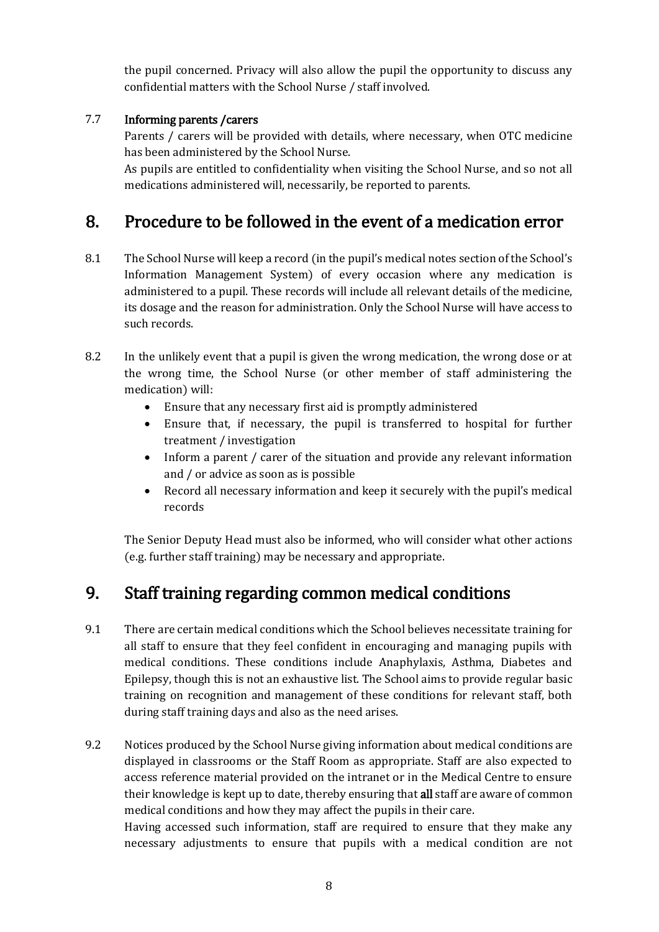the pupil concerned. Privacy will also allow the pupil the opportunity to discuss any confidential matters with the School Nurse / staff involved.

### 7.7 Informing parents /carers

Parents / carers will be provided with details, where necessary, when OTC medicine has been administered by the School Nurse.

As pupils are entitled to confidentiality when visiting the School Nurse, and so not all medications administered will, necessarily, be reported to parents.

### 8. Procedure to be followed in the event of a medication error

- 8.1 The School Nurse will keep a record (in the pupil's medical notes section of the School's Information Management System) of every occasion where any medication is administered to a pupil. These records will include all relevant details of the medicine, its dosage and the reason for administration. Only the School Nurse will have access to such records.
- 8.2 In the unlikely event that a pupil is given the wrong medication, the wrong dose or at the wrong time, the School Nurse (or other member of staff administering the medication) will:
	- Ensure that any necessary first aid is promptly administered
	- Ensure that, if necessary, the pupil is transferred to hospital for further treatment / investigation
	- Inform a parent / carer of the situation and provide any relevant information and / or advice as soon as is possible
	- Record all necessary information and keep it securely with the pupil's medical records

The Senior Deputy Head must also be informed, who will consider what other actions (e.g. further staff training) may be necessary and appropriate.

## 9. Staff training regarding common medical conditions

- 9.1 There are certain medical conditions which the School believes necessitate training for all staff to ensure that they feel confident in encouraging and managing pupils with medical conditions. These conditions include Anaphylaxis, Asthma, Diabetes and Epilepsy, though this is not an exhaustive list. The School aims to provide regular basic training on recognition and management of these conditions for relevant staff, both during staff training days and also as the need arises.
- 9.2 Notices produced by the School Nurse giving information about medical conditions are displayed in classrooms or the Staff Room as appropriate. Staff are also expected to access reference material provided on the intranet or in the Medical Centre to ensure their knowledge is kept up to date, thereby ensuring that all staff are aware of common medical conditions and how they may affect the pupils in their care.

Having accessed such information, staff are required to ensure that they make any necessary adjustments to ensure that pupils with a medical condition are not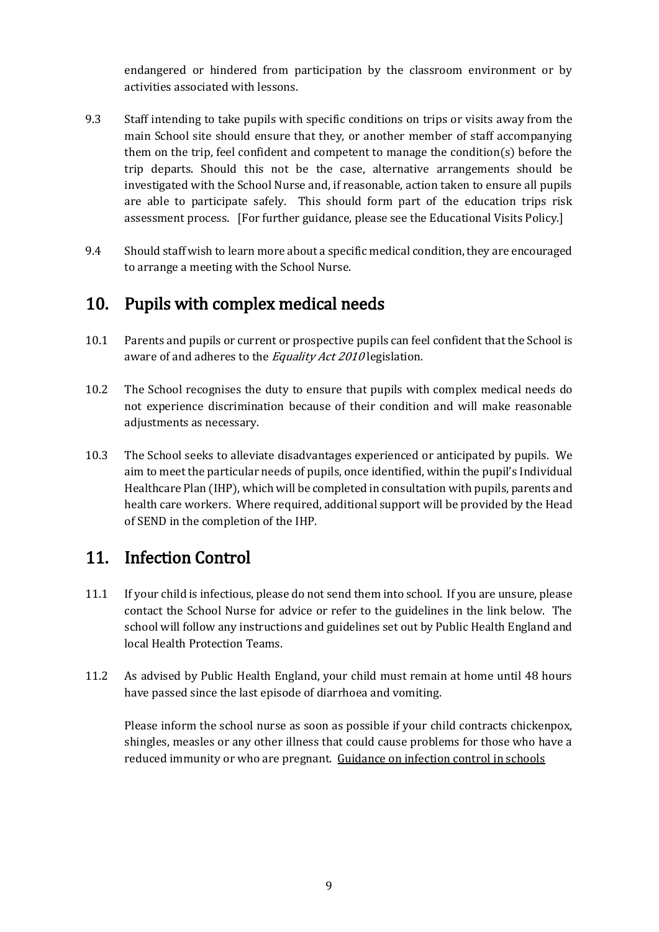endangered or hindered from participation by the classroom environment or by activities associated with lessons.

- 9.3 Staff intending to take pupils with specific conditions on trips or visits away from the main School site should ensure that they, or another member of staff accompanying them on the trip, feel confident and competent to manage the condition(s) before the trip departs. Should this not be the case, alternative arrangements should be investigated with the School Nurse and, if reasonable, action taken to ensure all pupils are able to participate safely. This should form part of the education trips risk assessment process. [For further guidance, please see the Educational Visits Policy.]
- 9.4 Should staff wish to learn more about a specific medical condition, they are encouraged to arrange a meeting with the School Nurse.

### 10. Pupils with complex medical needs

- 10.1 Parents and pupils or current or prospective pupils can feel confident that the School is aware of and adheres to the Equality Act 2010 legislation.
- 10.2 The School recognises the duty to ensure that pupils with complex medical needs do not experience discrimination because of their condition and will make reasonable adjustments as necessary.
- 10.3 The School seeks to alleviate disadvantages experienced or anticipated by pupils. We aim to meet the particular needs of pupils, once identified, within the pupil's Individual Healthcare Plan (IHP), which will be completed in consultation with pupils, parents and health care workers. Where required, additional support will be provided by the Head of SEND in the completion of the IHP.

### 11. Infection Control

- 11.1 If your child is infectious, please do not send them into school. If you are unsure, please contact the School Nurse for advice or refer to the guidelines in the link below. The school will follow any instructions and guidelines set out by Public Health England and local Health Protection Teams.
- 11.2 As advised by Public Health England, your child must remain at home until 48 hours have passed since the last episode of diarrhoea and vomiting.

Please inform the school nurse as soon as possible if your child contracts chickenpox, shingles, measles or any other illness that could cause problems for those who have a reduced immunity or who are pregnant. [Guidance on infection control in schools](https://www.publichealth.hscni.net/sites/default/files/Guidance_on_infection_control_in%20schools_poster.pdf)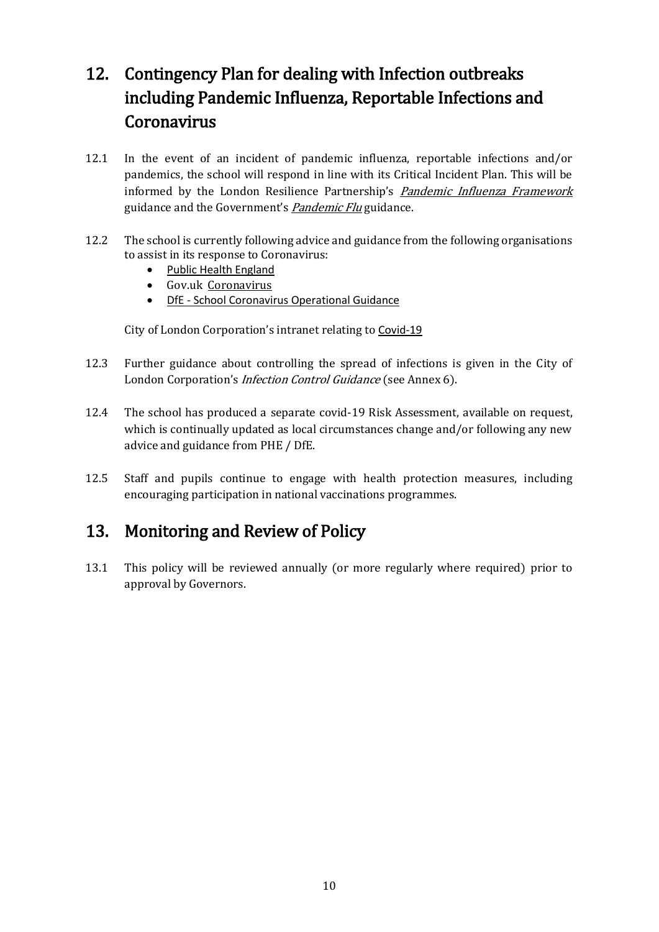## 12. Contingency Plan for dealing with Infection outbreaks including Pandemic Influenza, Reportable Infections and Coronavirus

- 12.1 In the event of an incident of pandemic influenza, reportable infections and/or pandemics, the school will respond in line with its Critical Incident Plan. This will be informed by the London Resilience Partnership's [Pandemic Influenza Framework](https://www.london.gov.uk/sites/default/files/london_pan_flu_framework_v7_may_2018_0.pdf) guidance and the Government's [Pandemic Flu](https://www.gov.uk/guidance/pandemic-flu) guidance.
- 12.2 The school is currently following advice and guidance from the following organisations to assist in its response to Coronavirus:
	- [Public Health England](https://www.gov.uk/government/organisations/public-health-england)
	- Gov.uk [Coronavirus](https://www.gov.uk/coronavirus)
	- DfE [School Coronavirus Operational Guidance](https://www.gov.uk/government/publications/actions-for-schools-during-the-coronavirus-outbreak)

City of London Corporation's intranet relating to [Covid-19](https://corpoflondon.sharepoint.com/sites/Intranet/SitePages/Coronavirus.aspx)

- 12.3 Further guidance about controlling the spread of infections is given in the City of London Corporation's Infection Control Guidance (see Annex 6).
- 12.4 The school has produced a separate covid-19 Risk Assessment, available on request, which is continually updated as local circumstances change and/or following any new advice and guidance from PHE / DfE.
- 12.5 Staff and pupils continue to engage with health protection measures, including encouraging participation in national vaccinations programmes.

### 13. Monitoring and Review of Policy

13.1 This policy will be reviewed annually (or more regularly where required) prior to approval by Governors.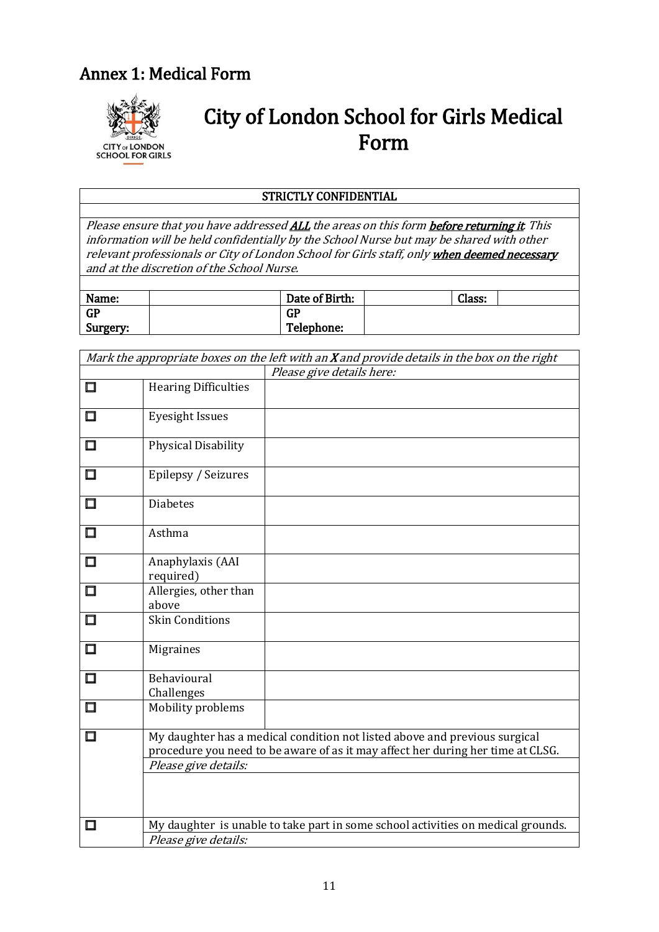## Annex 1: Medical Form



# City of London School for Girls Medical Form

#### STRICTLY CONFIDENTIAL

Please ensure that you have addressed ALL the areas on this form **before returning it**. This information will be held confidentially by the School Nurse but may be shared with other relevant professionals or City of London School for Girls staff, only when deemed necessary and at the discretion of the School Nurse.

| Name:     | Date of Birth: | Class: |  |
|-----------|----------------|--------|--|
| <b>GP</b> | <b>GP</b>      |        |  |
| Surgery:  | Telephone:     |        |  |
|           |                |        |  |

|        |                                | Mark the appropriate boxes on the left with an $X$ and provide details in the box on the right                                                                |  |  |  |
|--------|--------------------------------|---------------------------------------------------------------------------------------------------------------------------------------------------------------|--|--|--|
|        |                                | Please give details here:                                                                                                                                     |  |  |  |
| $\Box$ | <b>Hearing Difficulties</b>    |                                                                                                                                                               |  |  |  |
| $\Box$ | <b>Eyesight Issues</b>         |                                                                                                                                                               |  |  |  |
| $\Box$ | Physical Disability            |                                                                                                                                                               |  |  |  |
| 囗      | Epilepsy / Seizures            |                                                                                                                                                               |  |  |  |
| 囗      | <b>Diabetes</b>                |                                                                                                                                                               |  |  |  |
| 囗      | Asthma                         |                                                                                                                                                               |  |  |  |
| $\Box$ | Anaphylaxis (AAI<br>required)  |                                                                                                                                                               |  |  |  |
| $\Box$ | Allergies, other than<br>above |                                                                                                                                                               |  |  |  |
| 囗      | <b>Skin Conditions</b>         |                                                                                                                                                               |  |  |  |
| $\Box$ | <b>Migraines</b>               |                                                                                                                                                               |  |  |  |
| 囗      | Behavioural<br>Challenges      |                                                                                                                                                               |  |  |  |
| 囗      | Mobility problems              |                                                                                                                                                               |  |  |  |
| $\Box$ |                                | My daughter has a medical condition not listed above and previous surgical<br>procedure you need to be aware of as it may affect her during her time at CLSG. |  |  |  |
|        | Please give details:           |                                                                                                                                                               |  |  |  |
|        |                                |                                                                                                                                                               |  |  |  |
| 囗      |                                | My daughter is unable to take part in some school activities on medical grounds.                                                                              |  |  |  |
|        | Please give details:           |                                                                                                                                                               |  |  |  |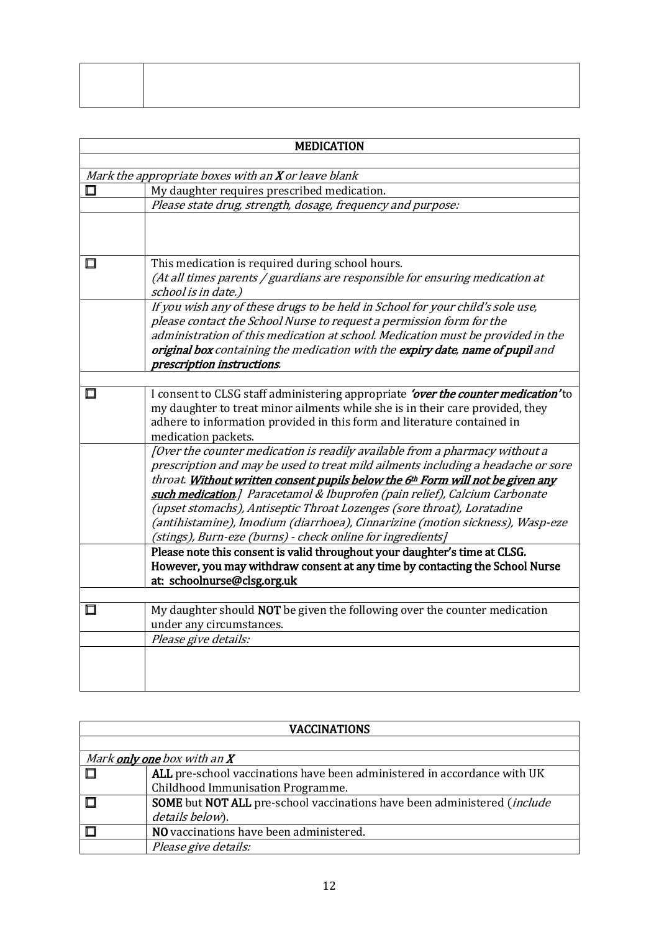| <b>MEDICATION</b>                                                                                                                                                                                                                                                                                                                                                                                                                                                                                                                                         |
|-----------------------------------------------------------------------------------------------------------------------------------------------------------------------------------------------------------------------------------------------------------------------------------------------------------------------------------------------------------------------------------------------------------------------------------------------------------------------------------------------------------------------------------------------------------|
|                                                                                                                                                                                                                                                                                                                                                                                                                                                                                                                                                           |
| Mark the appropriate boxes with an X or leave blank                                                                                                                                                                                                                                                                                                                                                                                                                                                                                                       |
| My daughter requires prescribed medication.                                                                                                                                                                                                                                                                                                                                                                                                                                                                                                               |
| Please state drug, strength, dosage, frequency and purpose:                                                                                                                                                                                                                                                                                                                                                                                                                                                                                               |
|                                                                                                                                                                                                                                                                                                                                                                                                                                                                                                                                                           |
| This medication is required during school hours.<br>(At all times parents / guardians are responsible for ensuring medication at<br>school is in date.)                                                                                                                                                                                                                                                                                                                                                                                                   |
| If you wish any of these drugs to be held in School for your child's sole use,<br>please contact the School Nurse to request a permission form for the<br>administration of this medication at school. Medication must be provided in the<br>original box containing the medication with the expiry date, name of pupil and<br>prescription instructions.                                                                                                                                                                                                 |
|                                                                                                                                                                                                                                                                                                                                                                                                                                                                                                                                                           |
| I consent to CLSG staff administering appropriate 'over the counter medication' to<br>my daughter to treat minor ailments while she is in their care provided, they<br>adhere to information provided in this form and literature contained in<br>medication packets.                                                                                                                                                                                                                                                                                     |
| [Over the counter medication is readily available from a pharmacy without a<br>prescription and may be used to treat mild ailments including a headache or sore<br>throat. Without written consent pupils below the 6th Form will not be given any<br>such medication.] Paracetamol & Ibuprofen (pain relief), Calcium Carbonate<br>(upset stomachs), Antiseptic Throat Lozenges (sore throat), Loratadine<br>(antihistamine), Imodium (diarrhoea), Cinnarizine (motion sickness), Wasp-eze<br>(stings), Burn-eze (burns) - check online for ingredients] |
| Please note this consent is valid throughout your daughter's time at CLSG.<br>However, you may withdraw consent at any time by contacting the School Nurse<br>at: schoolnurse@clsg.org.uk                                                                                                                                                                                                                                                                                                                                                                 |
|                                                                                                                                                                                                                                                                                                                                                                                                                                                                                                                                                           |
| My daughter should <b>NOT</b> be given the following over the counter medication<br>under any circumstances.                                                                                                                                                                                                                                                                                                                                                                                                                                              |
| Please give details:                                                                                                                                                                                                                                                                                                                                                                                                                                                                                                                                      |
|                                                                                                                                                                                                                                                                                                                                                                                                                                                                                                                                                           |

| <b>VACCINATIONS</b>                                                                     |  |  |  |  |
|-----------------------------------------------------------------------------------------|--|--|--|--|
|                                                                                         |  |  |  |  |
| Mark only one box with an X                                                             |  |  |  |  |
| ALL pre-school vaccinations have been administered in accordance with UK                |  |  |  |  |
| Childhood Immunisation Programme.                                                       |  |  |  |  |
| <b>SOME</b> but NOT ALL pre-school vaccinations have been administered ( <i>include</i> |  |  |  |  |
| details below).                                                                         |  |  |  |  |
| NO vaccinations have been administered.                                                 |  |  |  |  |
| Please give details:                                                                    |  |  |  |  |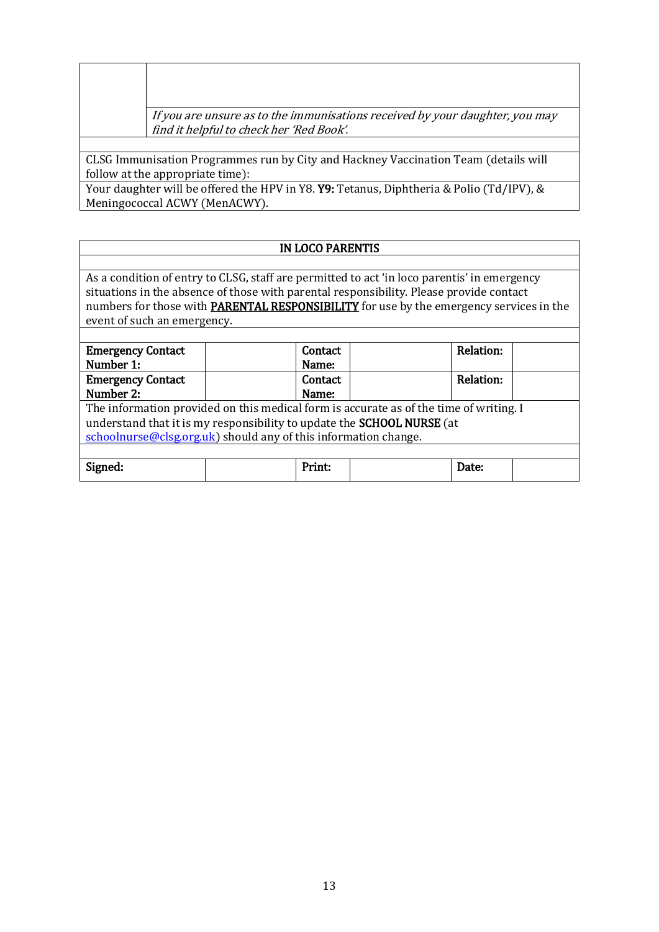If you are unsure as to the immunisations received by your daughter, you may find it helpful to check her 'Red Book'.

CLSG Immunisation Programmes run by City and Hackney Vaccination Team (details will follow at the appropriate time):

Your daughter will be offered the HPV in Y8. Y9: Tetanus, Diphtheria & Polio (Td/IPV), & Meningococcal ACWY (MenACWY).

#### IN LOCO PARENTIS

As a condition of entry to CLSG, staff are permitted to act 'in loco parentis' in emergency situations in the absence of those with parental responsibility. Please provide contact numbers for those with **PARENTAL RESPONSIBILITY** for use by the emergency services in the event of such an emergency.

| <b>Emergency Contact</b>                                                               | Contact |  | Relation: |  |  |  |  |
|----------------------------------------------------------------------------------------|---------|--|-----------|--|--|--|--|
| Number 1:                                                                              | Name:   |  |           |  |  |  |  |
| <b>Emergency Contact</b>                                                               | Contact |  | Relation: |  |  |  |  |
| Number 2:                                                                              | Name:   |  |           |  |  |  |  |
| The information provided on this medical form is accurate as of the time of writing. I |         |  |           |  |  |  |  |
| understand that it is my responsibility to update the SCHOOL NURSE (at                 |         |  |           |  |  |  |  |
| schoolnurse@clsg.org.uk) should any of this information change.                        |         |  |           |  |  |  |  |
|                                                                                        |         |  |           |  |  |  |  |
| Signed:                                                                                | Print:  |  | Date:     |  |  |  |  |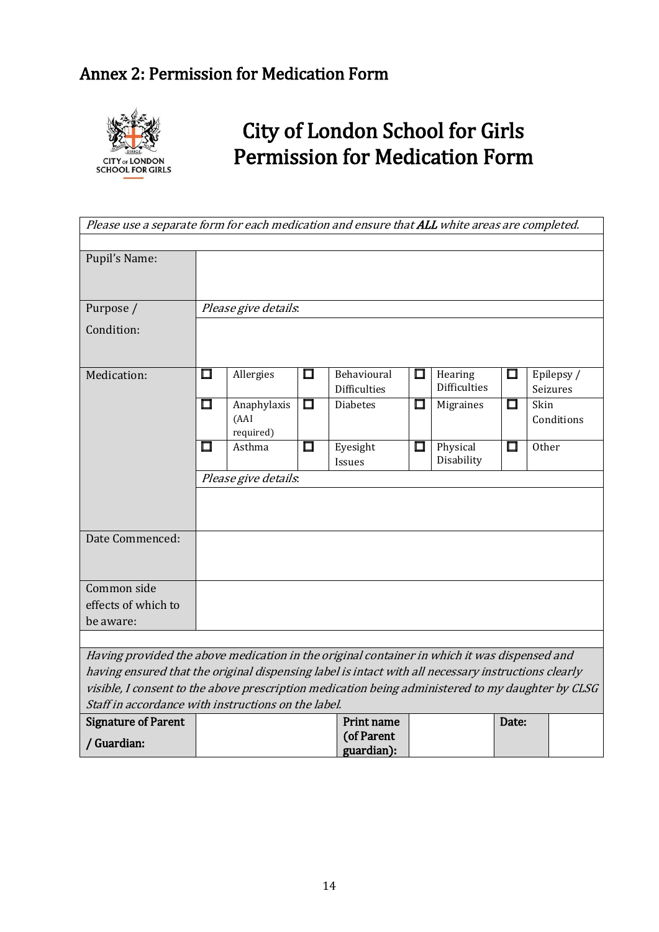## Annex 2: Permission for Medication Form



# City of London School for Girls Permission for Medication Form

| Please use a separate form for each medication and ensure that ALL white areas are completed.                                                            |                      |                                  |        |                                    |           |                                |          |                        |
|----------------------------------------------------------------------------------------------------------------------------------------------------------|----------------------|----------------------------------|--------|------------------------------------|-----------|--------------------------------|----------|------------------------|
|                                                                                                                                                          |                      |                                  |        |                                    |           |                                |          |                        |
| Pupil's Name:                                                                                                                                            |                      |                                  |        |                                    |           |                                |          |                        |
|                                                                                                                                                          |                      |                                  |        |                                    |           |                                |          |                        |
| Purpose /                                                                                                                                                |                      | Please give details.             |        |                                    |           |                                |          |                        |
| Condition:                                                                                                                                               |                      |                                  |        |                                    |           |                                |          |                        |
|                                                                                                                                                          |                      |                                  |        |                                    |           |                                |          |                        |
| Medication:                                                                                                                                              | 囗                    | Allergies                        | $\Box$ | Behavioural<br><b>Difficulties</b> | Ш         | Hearing<br><b>Difficulties</b> | $\sqcup$ | Epilepsy /<br>Seizures |
|                                                                                                                                                          | $\Box$               | Anaphylaxis<br>(AAI<br>required) | $\Box$ | <b>Diabetes</b>                    | $\square$ | Migraines                      | $\Box$   | Skin<br>Conditions     |
|                                                                                                                                                          | □                    | Asthma                           | $\Box$ | Eyesight<br>Issues                 | $\Box$    | Physical<br>Disability         | $\Box$   | <b>Other</b>           |
|                                                                                                                                                          | Please give details: |                                  |        |                                    |           |                                |          |                        |
|                                                                                                                                                          |                      |                                  |        |                                    |           |                                |          |                        |
| Date Commenced:                                                                                                                                          |                      |                                  |        |                                    |           |                                |          |                        |
| Common side                                                                                                                                              |                      |                                  |        |                                    |           |                                |          |                        |
| effects of which to                                                                                                                                      |                      |                                  |        |                                    |           |                                |          |                        |
| be aware:                                                                                                                                                |                      |                                  |        |                                    |           |                                |          |                        |
|                                                                                                                                                          |                      |                                  |        |                                    |           |                                |          |                        |
| Having provided the above medication in the original container in which it was dispensed and                                                             |                      |                                  |        |                                    |           |                                |          |                        |
| having ensured that the original dispensing label is intact with all necessary instructions clearly                                                      |                      |                                  |        |                                    |           |                                |          |                        |
| visible, I consent to the above prescription medication being administered to my daughter by CLSG<br>Staff in accordance with instructions on the label. |                      |                                  |        |                                    |           |                                |          |                        |
| <b>Signature of Parent</b>                                                                                                                               |                      |                                  |        | Print name                         |           |                                | Date:    |                        |
|                                                                                                                                                          |                      |                                  |        | (of Parent                         |           |                                |          |                        |
| / Guardian:                                                                                                                                              |                      |                                  |        | guardian):                         |           |                                |          |                        |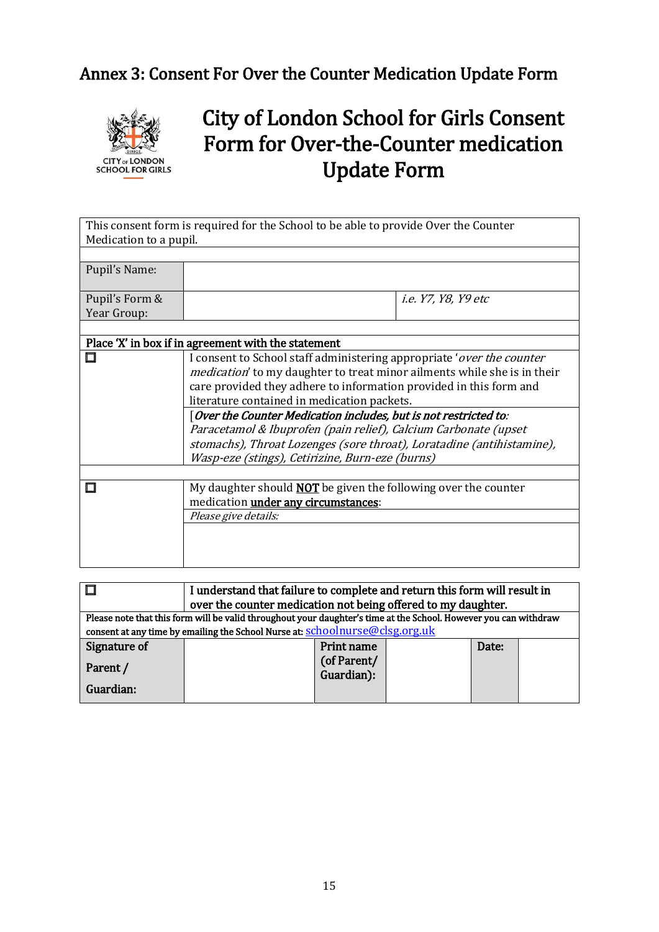## Annex 3: Consent For Over the Counter Medication Update Form



# City of London School for Girls Consent Form for Over-the-Counter medication Update Form

This consent form is required for the School to be able to provide Over the Counter Medication to a pupil.

| Pupil's Name:                 |                     |
|-------------------------------|---------------------|
| Pupil's Form &<br>Year Group: | i.e. Y7, Y8, Y9 etc |
|                               |                     |
|                               |                     |

| Place 'X' in box if in agreement with the statement                                                                                                       |  |  |  |  |  |  |
|-----------------------------------------------------------------------------------------------------------------------------------------------------------|--|--|--|--|--|--|
| I consent to School staff administering appropriate 'over the counter<br><i>medication</i> ' to my daughter to treat minor ailments while she is in their |  |  |  |  |  |  |
| care provided they adhere to information provided in this form and<br>literature contained in medication packets.                                         |  |  |  |  |  |  |
| [Over the Counter Medication includes, but is not restricted to:                                                                                          |  |  |  |  |  |  |
| Paracetamol & Ibuprofen (pain relief), Calcium Carbonate (upset                                                                                           |  |  |  |  |  |  |
| stomachs), Throat Lozenges (sore throat), Loratadine (antihistamine),                                                                                     |  |  |  |  |  |  |
| Wasp-eze (stings), Cetirizine, Burn-eze (burns)                                                                                                           |  |  |  |  |  |  |
|                                                                                                                                                           |  |  |  |  |  |  |
| My daughter should <b>NOT</b> be given the following over the counter                                                                                     |  |  |  |  |  |  |
| medication under any circumstances:                                                                                                                       |  |  |  |  |  |  |
| Please give details:                                                                                                                                      |  |  |  |  |  |  |
|                                                                                                                                                           |  |  |  |  |  |  |
|                                                                                                                                                           |  |  |  |  |  |  |
|                                                                                                                                                           |  |  |  |  |  |  |

|                                                                                                                  | I understand that failure to complete and return this form will result in<br>over the counter medication not being offered to my daughter. |                           |  |       |  |  |
|------------------------------------------------------------------------------------------------------------------|--------------------------------------------------------------------------------------------------------------------------------------------|---------------------------|--|-------|--|--|
| Please note that this form will be valid throughout your daughter's time at the School. However you can withdraw |                                                                                                                                            |                           |  |       |  |  |
|                                                                                                                  | consent at any time by emailing the School Nurse at: schoolnurse@clsg.org.uk                                                               |                           |  |       |  |  |
| Signature of                                                                                                     |                                                                                                                                            | Print name                |  | Date: |  |  |
| Parent /<br>Guardian:                                                                                            |                                                                                                                                            | (of Parent/<br>Guardian): |  |       |  |  |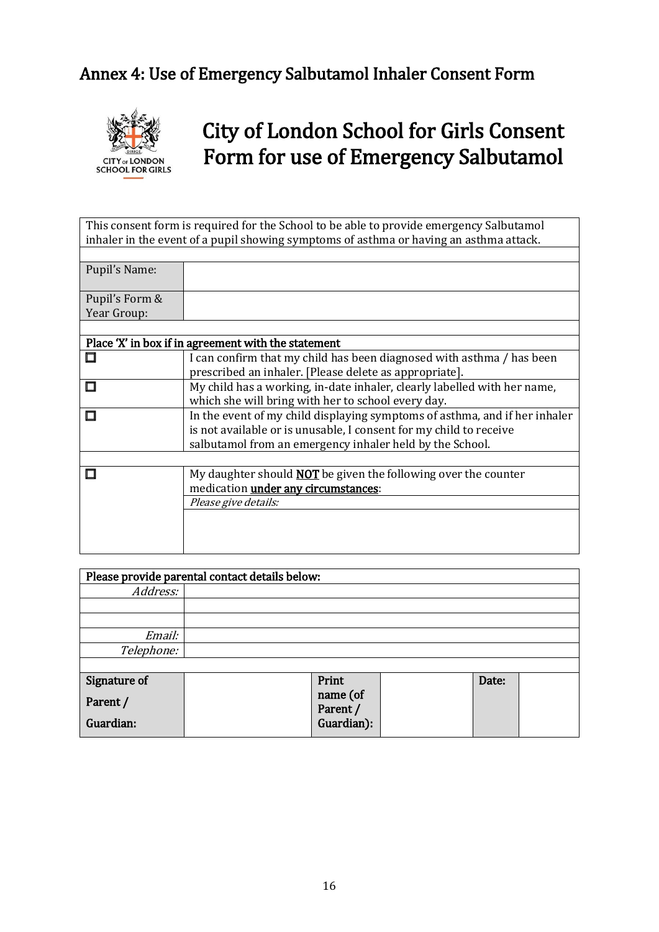## Annex 4: Use of Emergency Salbutamol Inhaler Consent Form



# City of London School for Girls Consent Form for use of Emergency Salbutamol

This consent form is required for the School to be able to provide emergency Salbutamol inhaler in the event of a pupil showing symptoms of asthma or having an asthma attack.

| Pupil's Name:                 |  |
|-------------------------------|--|
| Pupil's Form &<br>Year Group: |  |
|                               |  |
|                               |  |

| Place 'X' in box if in agreement with the statement |                                                                            |  |  |  |
|-----------------------------------------------------|----------------------------------------------------------------------------|--|--|--|
|                                                     | I can confirm that my child has been diagnosed with asthma / has been      |  |  |  |
|                                                     | prescribed an inhaler. [Please delete as appropriate].                     |  |  |  |
|                                                     | My child has a working, in-date inhaler, clearly labelled with her name,   |  |  |  |
|                                                     | which she will bring with her to school every day.                         |  |  |  |
|                                                     | In the event of my child displaying symptoms of asthma, and if her inhaler |  |  |  |
|                                                     | is not available or is unusable, I consent for my child to receive         |  |  |  |
|                                                     | salbutamol from an emergency inhaler held by the School.                   |  |  |  |
|                                                     |                                                                            |  |  |  |
|                                                     | My daughter should <b>NOT</b> be given the following over the counter      |  |  |  |
|                                                     | medication <i>under any circumstances</i> :                                |  |  |  |
|                                                     | Please give details:                                                       |  |  |  |
|                                                     |                                                                            |  |  |  |
|                                                     |                                                                            |  |  |  |
|                                                     |                                                                            |  |  |  |

| Please provide parental contact details below: |  |            |  |       |  |  |  |
|------------------------------------------------|--|------------|--|-------|--|--|--|
| Address:                                       |  |            |  |       |  |  |  |
|                                                |  |            |  |       |  |  |  |
|                                                |  |            |  |       |  |  |  |
| Email:                                         |  |            |  |       |  |  |  |
| Telephone:                                     |  |            |  |       |  |  |  |
|                                                |  |            |  |       |  |  |  |
| Signature of                                   |  | Print      |  | Date: |  |  |  |
| Parent /                                       |  | name (of   |  |       |  |  |  |
|                                                |  | Parent /   |  |       |  |  |  |
| Guardian:                                      |  | Guardian): |  |       |  |  |  |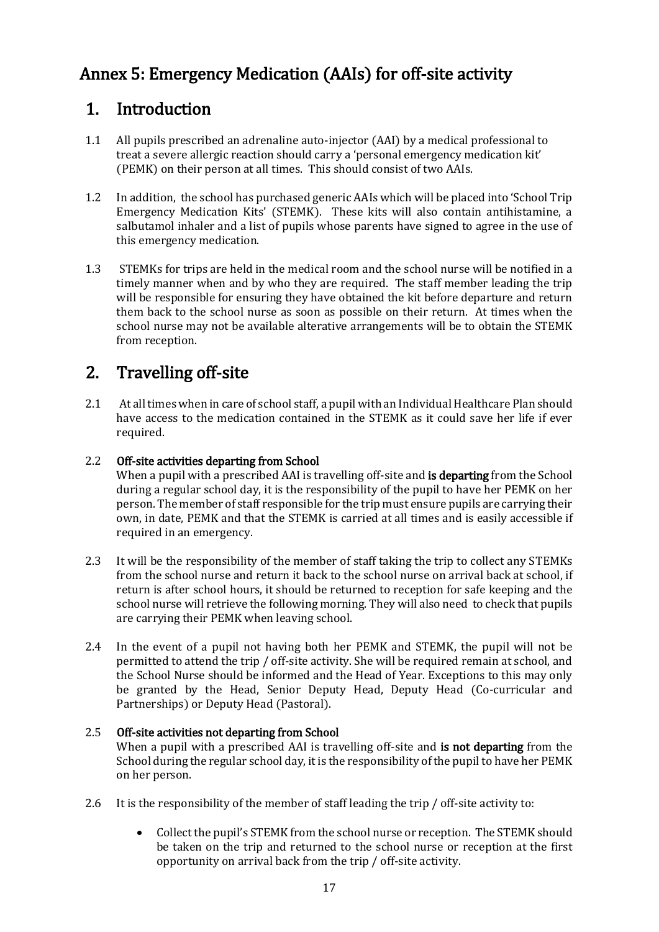## Annex 5: Emergency Medication (AAIs) for off-site activity

### 1. Introduction

- 1.1 All pupils prescribed an adrenaline auto-injector (AAI) by a medical professional to treat a severe allergic reaction should carry a 'personal emergency medication kit' (PEMK) on their person at all times. This should consist of two AAIs.
- 1.2 In addition, the school has purchased generic AAIs which will be placed into 'School Trip Emergency Medication Kits' (STEMK). These kits will also contain antihistamine, a salbutamol inhaler and a list of pupils whose parents have signed to agree in the use of this emergency medication.
- 1.3 STEMKs for trips are held in the medical room and the school nurse will be notified in a timely manner when and by who they are required. The staff member leading the trip will be responsible for ensuring they have obtained the kit before departure and return them back to the school nurse as soon as possible on their return. At times when the school nurse may not be available alterative arrangements will be to obtain the STEMK from reception.

## 2. Travelling off-site

2.1 At all times when in care of school staff, a pupil with an Individual Healthcare Plan should have access to the medication contained in the STEMK as it could save her life if ever required.

#### 2.2 Off-site activities departing from School

When a pupil with a prescribed AAI is travelling off-site and **is departing** from the School during a regular school day, it is the responsibility of the pupil to have her PEMK on her person. The member of staff responsible for the trip must ensure pupils are carrying their own, in date, PEMK and that the STEMK is carried at all times and is easily accessible if required in an emergency.

- 2.3 It will be the responsibility of the member of staff taking the trip to collect any STEMKs from the school nurse and return it back to the school nurse on arrival back at school, if return is after school hours, it should be returned to reception for safe keeping and the school nurse will retrieve the following morning. They will also need to check that pupils are carrying their PEMK when leaving school.
- 2.4 In the event of a pupil not having both her PEMK and STEMK, the pupil will not be permitted to attend the trip / off-site activity. She will be required remain at school, and the School Nurse should be informed and the Head of Year. Exceptions to this may only be granted by the Head, Senior Deputy Head, Deputy Head (Co-curricular and Partnerships) or Deputy Head (Pastoral).

#### 2.5 Off-site activities not departing from School

When a pupil with a prescribed AAI is travelling off-site and is not departing from the School during the regular school day, it is the responsibility of the pupil to have her PEMK on her person.

- 2.6 It is the responsibility of the member of staff leading the trip / off-site activity to:
	- Collect the pupil's STEMK from the school nurse or reception. The STEMK should be taken on the trip and returned to the school nurse or reception at the first opportunity on arrival back from the trip / off-site activity.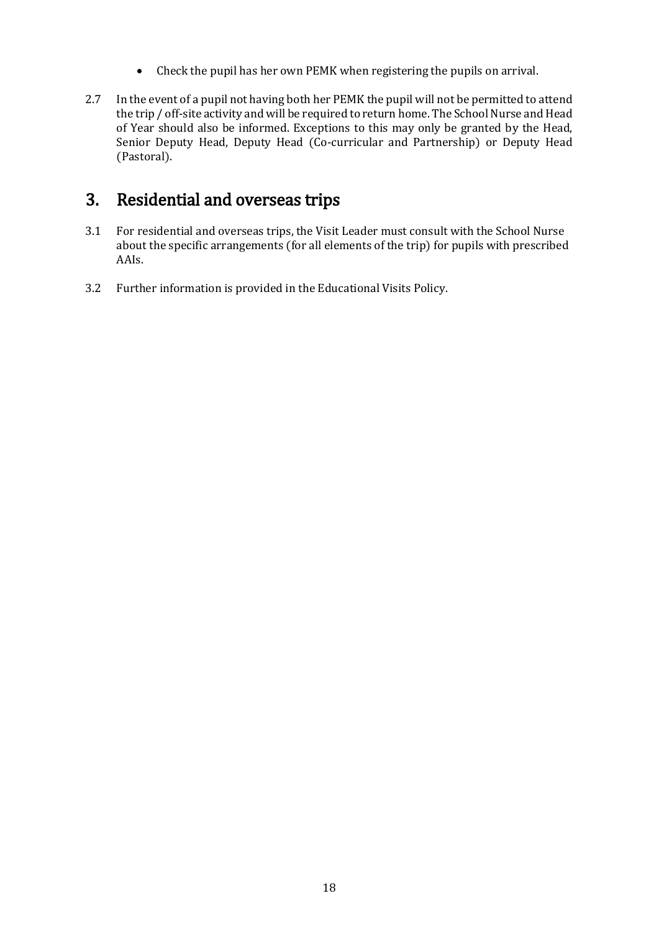- Check the pupil has her own PEMK when registering the pupils on arrival.
- 2.7 In the event of a pupil not having both her PEMK the pupil will not be permitted to attend the trip / off-site activity and will be required to return home. The School Nurse and Head of Year should also be informed. Exceptions to this may only be granted by the Head, Senior Deputy Head, Deputy Head (Co-curricular and Partnership) or Deputy Head (Pastoral).

### 3. Residential and overseas trips

- 3.1 For residential and overseas trips, the Visit Leader must consult with the School Nurse about the specific arrangements (for all elements of the trip) for pupils with prescribed AAIs.
- 3.2 Further information is provided in the Educational Visits Policy.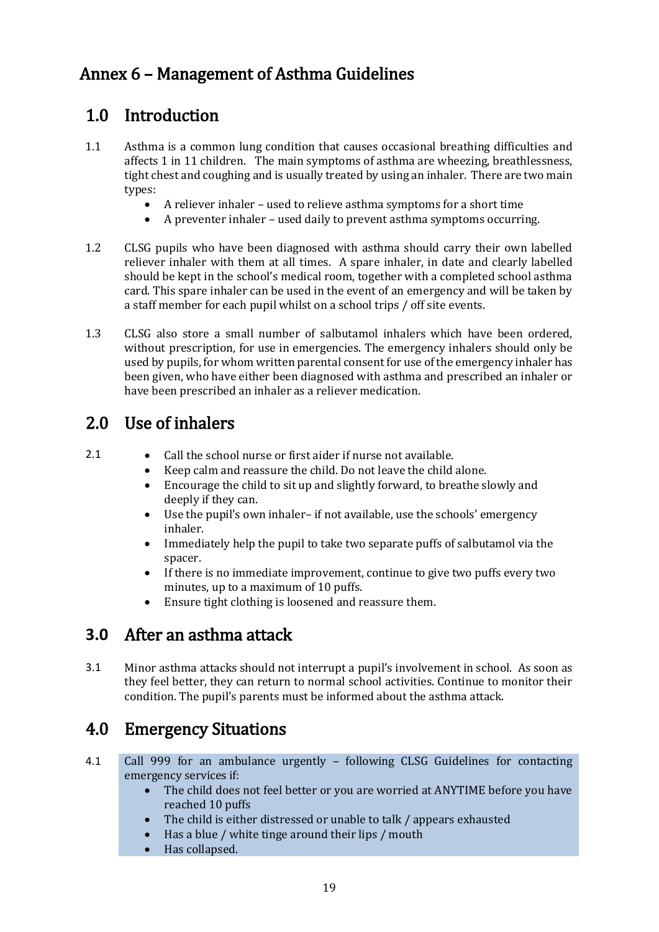## Annex 6 – Management of Asthma Guidelines

## 1.0 Introduction

- 1.1 Asthma is a common lung condition that causes occasional breathing difficulties and affects 1 in 11 children. The main symptoms of asthma are wheezing, breathlessness, tight chest and coughing and is usually treated by using an inhaler. There are two main types:
	- A reliever inhaler used to relieve asthma symptoms for a short time
	- A preventer inhaler used daily to prevent asthma symptoms occurring.
- 1.2 CLSG pupils who have been diagnosed with asthma should carry their own labelled reliever inhaler with them at all times. A spare inhaler, in date and clearly labelled should be kept in the school's medical room, together with a completed school asthma card. This spare inhaler can be used in the event of an emergency and will be taken by a staff member for each pupil whilst on a school trips / off site events.
- 1.3 CLSG also store a small number of salbutamol inhalers which have been ordered, without prescription, for use in emergencies. The emergency inhalers should only be used by pupils, for whom written parental consent for use of the emergency inhaler has been given, who have either been diagnosed with asthma and prescribed an inhaler or have been prescribed an inhaler as a reliever medication.

## 2.0 Use of inhalers

- 2.1 **•** Call the school nurse or first aider if nurse not available.
	- Keep calm and reassure the child. Do not leave the child alone.
	- Encourage the child to sit up and slightly forward, to breathe slowly and deeply if they can.
	- Use the pupil's own inhaler– if not available, use the schools' emergency inhaler.
	- Immediately help the pupil to take two separate puffs of salbutamol via the spacer.
	- If there is no immediate improvement, continue to give two puffs every two minutes, up to a maximum of 10 puffs.
	- Ensure tight clothing is loosened and reassure them.

### **3.0** After an asthma attack

3.1 Minor asthma attacks should not interrupt a pupil's involvement in school. As soon as they feel better, they can return to normal school activities. Continue to monitor their condition. The pupil's parents must be informed about the asthma attack.

## 4.0 Emergency Situations

- 4.1 Call 999 for an ambulance urgently following CLSG Guidelines for contacting emergency services if:
	- The child does not feel better or you are worried at ANYTIME before you have reached 10 puffs
	- The child is either distressed or unable to talk / appears exhausted
	- Has a blue / white tinge around their lips / mouth
	- Has collapsed.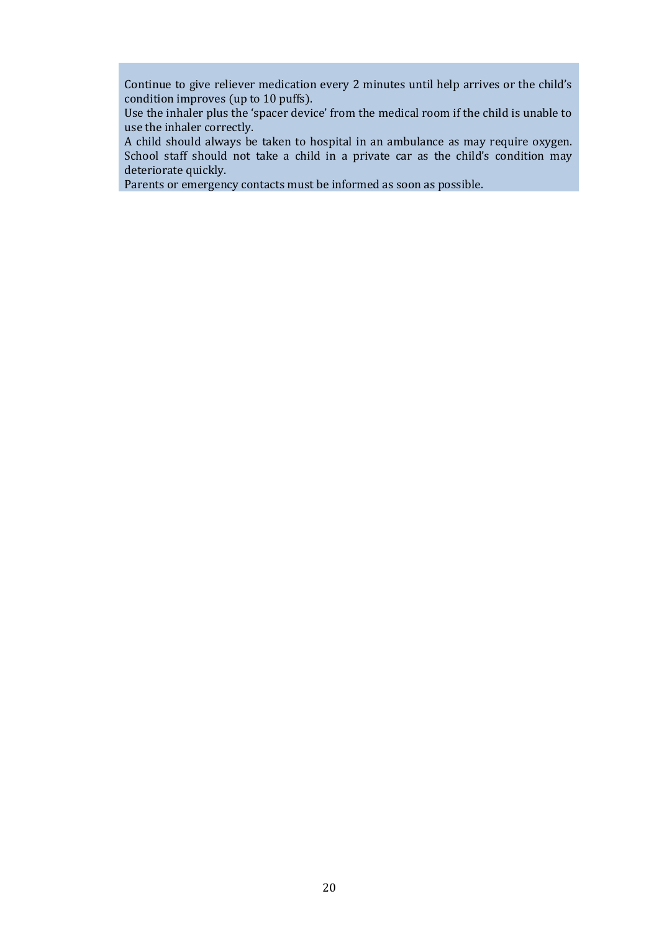Continue to give reliever medication every 2 minutes until help arrives or the child's condition improves (up to 10 puffs).

Use the inhaler plus the 'spacer device' from the medical room if the child is unable to use the inhaler correctly.

A child should always be taken to hospital in an ambulance as may require oxygen. School staff should not take a child in a private car as the child's condition may deteriorate quickly.

Parents or emergency contacts must be informed as soon as possible.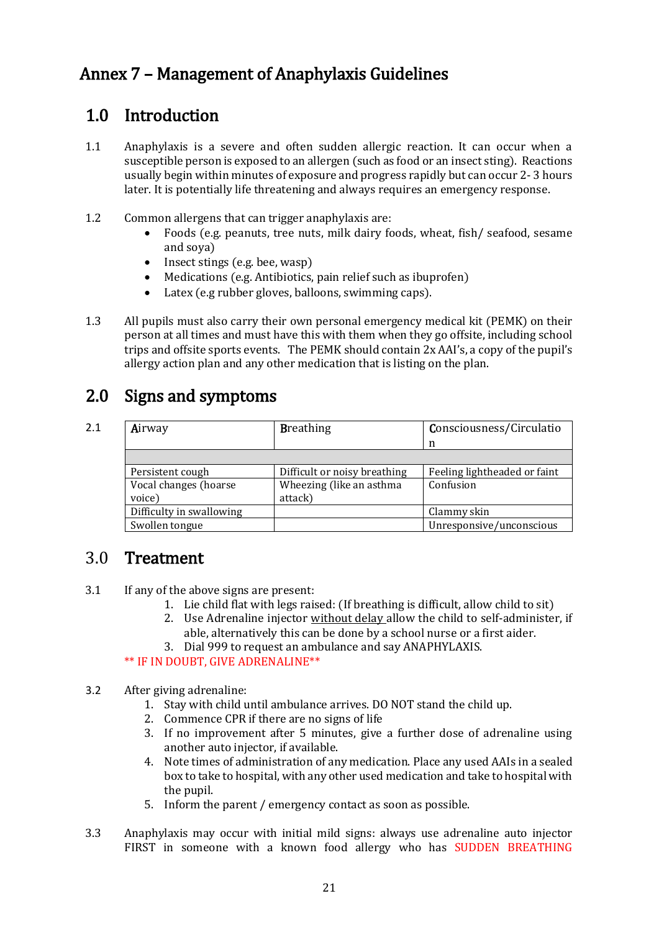## Annex 7 – Management of Anaphylaxis Guidelines

## 1.0 Introduction

- 1.1 Anaphylaxis is a severe and often sudden allergic reaction. It can occur when a susceptible person is exposed to an allergen (such as food or an insect sting). Reactions usually begin within minutes of exposure and progress rapidly but can occur 2- 3 hours later. It is potentially life threatening and always requires an emergency response.
- 1.2 Common allergens that can trigger anaphylaxis are:
	- Foods (e.g. peanuts, tree nuts, milk dairy foods, wheat, fish/ seafood, sesame and soya)
	- $\bullet$  Insect stings (e.g. bee, wasp)
	- Medications (e.g. Antibiotics, pain relief such as ibuprofen)
	- Latex (e.g rubber gloves, balloons, swimming caps).
- 1.3 All pupils must also carry their own personal emergency medical kit (PEMK) on their person at all times and must have this with them when they go offsite, including school trips and offsite sports events. The PEMK should contain 2x AAI's, a copy of the pupil's allergy action plan and any other medication that is listing on the plan.

### 2.0 Signs and symptoms

| 2.1 | Airway                   | <b>Breathing</b>             | Consciousness/Circulatio     |
|-----|--------------------------|------------------------------|------------------------------|
|     |                          |                              | n                            |
|     |                          |                              |                              |
|     | Persistent cough         | Difficult or noisy breathing | Feeling lightheaded or faint |
|     | Vocal changes (hoarse    | Wheezing (like an asthma     | Confusion                    |
|     | voice)                   | attack)                      |                              |
|     | Difficulty in swallowing |                              | Clammy skin                  |
|     | Swollen tongue           |                              | Unresponsive/unconscious     |

### 3.0 Treatment

- 3.1 If any of the above signs are present:
	- 1. Lie child flat with legs raised: (If breathing is difficult, allow child to sit)
	- 2. Use Adrenaline injector without delay allow the child to self-administer, if able, alternatively this can be done by a school nurse or a first aider.
	- 3. Dial 999 to request an ambulance and say ANAPHYLAXIS.

#### \*\* IF IN DOUBT, GIVE ADRENALINE\*\*

#### 3.2 After giving adrenaline:

- 1. Stay with child until ambulance arrives. DO NOT stand the child up.
- 2. Commence CPR if there are no signs of life
- 3. If no improvement after 5 minutes, give a further dose of adrenaline using another auto injector, if available.
- 4. Note times of administration of any medication. Place any used AAIs in a sealed box to take to hospital, with any other used medication and take to hospital with the pupil.
- 5. Inform the parent / emergency contact as soon as possible.
- 3.3 Anaphylaxis may occur with initial mild signs: always use adrenaline auto injector FIRST in someone with a known food allergy who has SUDDEN BREATHING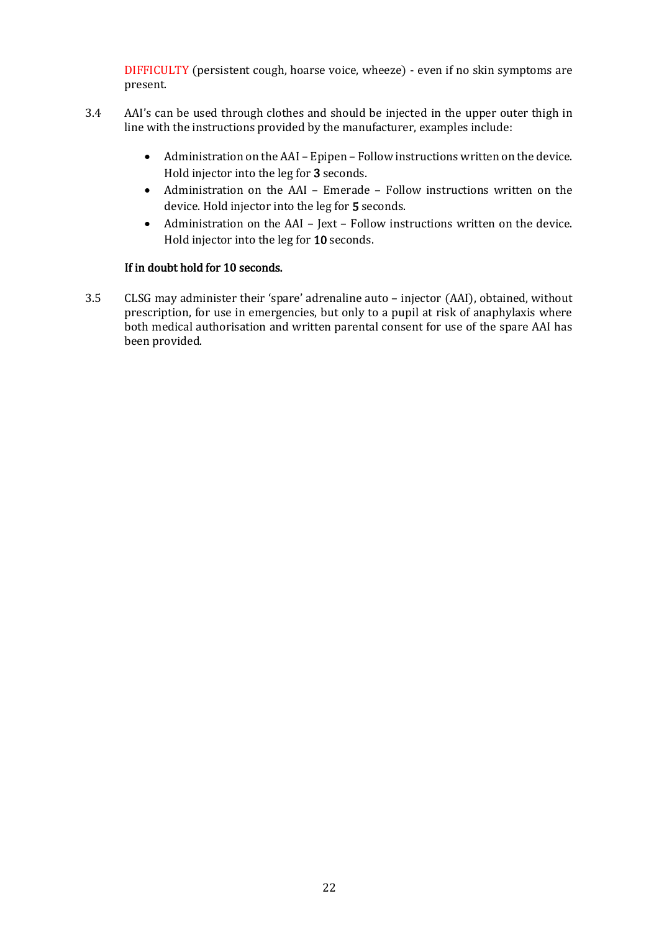DIFFICULTY (persistent cough, hoarse voice, wheeze) - even if no skin symptoms are present.

- 3.4 AAI's can be used through clothes and should be injected in the upper outer thigh in line with the instructions provided by the manufacturer, examples include:
	- Administration on the AAI Epipen Follow instructions written on the device. Hold injector into the leg for 3 seconds.
	- Administration on the AAI Emerade Follow instructions written on the device. Hold injector into the leg for 5 seconds.
	- Administration on the AAI Jext Follow instructions written on the device. Hold injector into the leg for 10 seconds.

#### If in doubt hold for 10 seconds.

3.5 CLSG may administer their 'spare' adrenaline auto – injector (AAI), obtained, without prescription, for use in emergencies, but only to a pupil at risk of anaphylaxis where both medical authorisation and written parental consent for use of the spare AAI has been provided.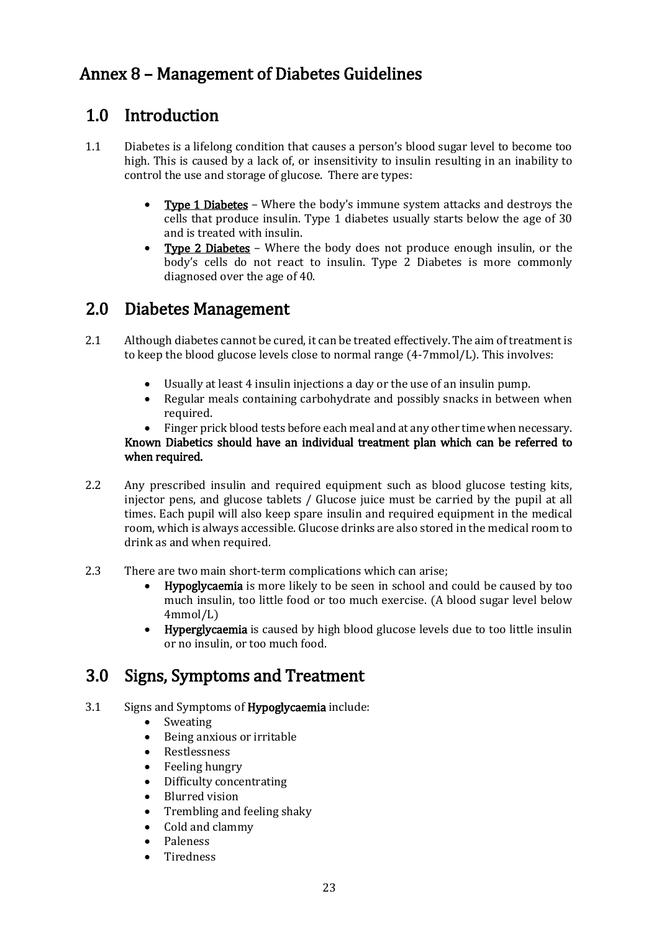## Annex 8 – Management of Diabetes Guidelines

### 1.0 Introduction

- 1.1 Diabetes is a lifelong condition that causes a person's blood sugar level to become too high. This is caused by a lack of, or insensitivity to insulin resulting in an inability to control the use and storage of glucose. There are types:
	- Type 1 Diabetes Where the body's immune system attacks and destroys the cells that produce insulin. Type 1 diabetes usually starts below the age of 30 and is treated with insulin.
	- Type 2 Diabetes Where the body does not produce enough insulin, or the body's cells do not react to insulin. Type 2 Diabetes is more commonly diagnosed over the age of 40.

### 2.0 Diabetes Management

- 2.1 Although diabetes cannot be cured, it can be treated effectively. The aim of treatment is to keep the blood glucose levels close to normal range (4-7mmol/L). This involves:
	- Usually at least 4 insulin injections a day or the use of an insulin pump.
	- Regular meals containing carbohydrate and possibly snacks in between when required.
	- Finger prick blood tests before each meal and at any other time when necessary.

#### Known Diabetics should have an individual treatment plan which can be referred to when required.

- 2.2 Any prescribed insulin and required equipment such as blood glucose testing kits, injector pens, and glucose tablets / Glucose juice must be carried by the pupil at all times. Each pupil will also keep spare insulin and required equipment in the medical room, which is always accessible. Glucose drinks are also stored in the medical room to drink as and when required.
- 2.3 There are two main short-term complications which can arise;
	- Hypoglycaemia is more likely to be seen in school and could be caused by too much insulin, too little food or too much exercise. (A blood sugar level below 4mmol/L)
	- Hyperglycaemia is caused by high blood glucose levels due to too little insulin or no insulin, or too much food.

### 3.0 Signs, Symptoms and Treatment

- 3.1 Signs and Symptoms of Hypoglycaemia include:
	- Sweating
	- Being anxious or irritable
	- Restlessness
	- Feeling hungry
	- Difficulty concentrating
	- Blurred vision
	- Trembling and feeling shaky
	- Cold and clammy
	- Paleness
	- Tiredness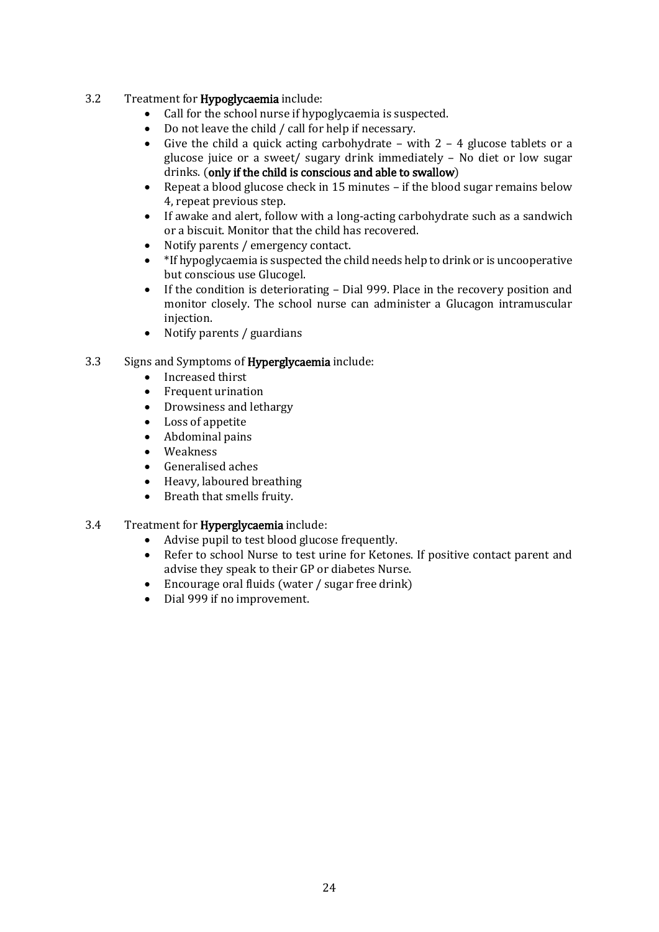#### 3.2 Treatment for Hypoglycaemia include:

- Call for the school nurse if hypoglycaemia is suspected.
- Do not leave the child / call for help if necessary.
- Give the child a quick acting carbohydrate with  $2 4$  glucose tablets or a glucose juice or a sweet/ sugary drink immediately – No diet or low sugar drinks. (only if the child is conscious and able to swallow)
- Repeat a blood glucose check in 15 minutes if the blood sugar remains below 4, repeat previous step.
- If awake and alert, follow with a long-acting carbohydrate such as a sandwich or a biscuit. Monitor that the child has recovered.
- Notify parents / emergency contact.
- \*If hypoglycaemia is suspected the child needs help to drink or is uncooperative but conscious use Glucogel.
- If the condition is deteriorating Dial 999. Place in the recovery position and monitor closely. The school nurse can administer a Glucagon intramuscular injection.
- Notify parents / guardians

#### 3.3 Signs and Symptoms of Hyperglycaemia include:

- Increased thirst
- Frequent urination
- Drowsiness and lethargy
- Loss of appetite
- Abdominal pains
- Weakness
- Generalised aches
- Heavy, laboured breathing
- Breath that smells fruity.

#### 3.4 Treatment for Hyperglycaemia include:

- Advise pupil to test blood glucose frequently.
- Refer to school Nurse to test urine for Ketones. If positive contact parent and advise they speak to their GP or diabetes Nurse.
- Encourage oral fluids (water / sugar free drink)
- Dial 999 if no improvement.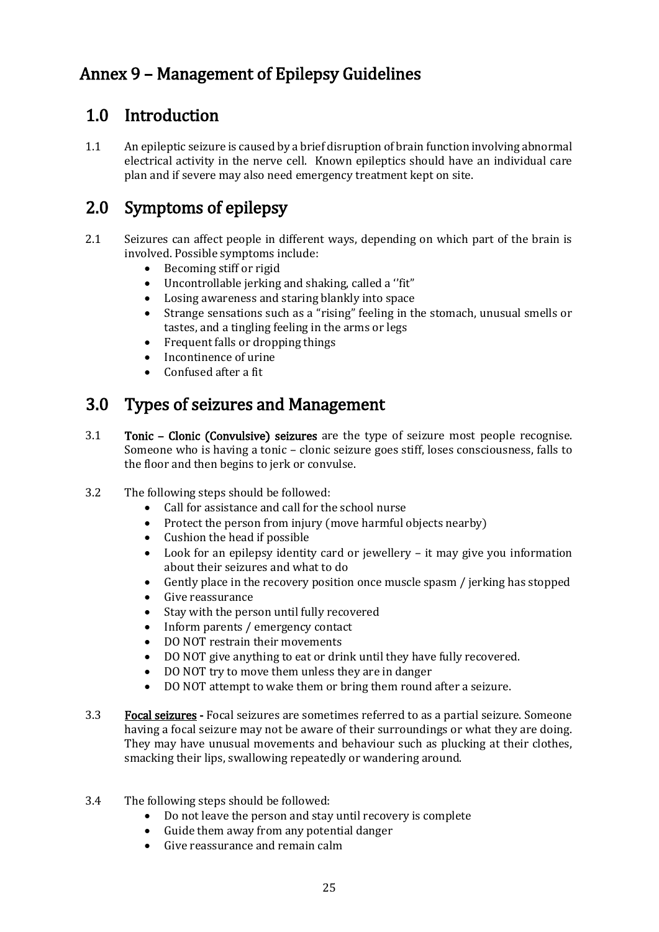## Annex 9 – Management of Epilepsy Guidelines

## 1.0 Introduction

1.1 An epileptic seizure is caused by a brief disruption of brain function involving abnormal electrical activity in the nerve cell. Known epileptics should have an individual care plan and if severe may also need emergency treatment kept on site.

## 2.0 Symptoms of epilepsy

- 2.1 Seizures can affect people in different ways, depending on which part of the brain is involved. Possible symptoms include:
	- Becoming stiff or rigid
	- Uncontrollable jerking and shaking, called a ''fit"
	- Losing awareness and staring blankly into space
	- Strange sensations such as a "rising" feeling in the stomach, unusual smells or tastes, and a tingling feeling in the arms or legs
	- Frequent falls or dropping things
	- Incontinence of urine
	- Confused after a fit

## 3.0 Types of seizures and Management

- 3.1 Tonic Clonic (Convulsive) seizures are the type of seizure most people recognise. Someone who is having a tonic – clonic seizure goes stiff, loses consciousness, falls to the floor and then begins to jerk or convulse.
- 3.2 The following steps should be followed:
	- Call for assistance and call for the school nurse
	- Protect the person from injury (move harmful objects nearby)
	- Cushion the head if possible
	- Look for an epilepsy identity card or jewellery it may give you information about their seizures and what to do
	- Gently place in the recovery position once muscle spasm / jerking has stopped
	- Give reassurance
	- Stay with the person until fully recovered
	- Inform parents / emergency contact
	- DO NOT restrain their movements
	- DO NOT give anything to eat or drink until they have fully recovered.
	- DO NOT try to move them unless they are in danger
	- DO NOT attempt to wake them or bring them round after a seizure.
- 3.3 Focal seizures Focal seizures are sometimes referred to as a partial seizure. Someone having a focal seizure may not be aware of their surroundings or what they are doing. They may have unusual movements and behaviour such as plucking at their clothes, smacking their lips, swallowing repeatedly or wandering around.
- 3.4 The following steps should be followed:
	- Do not leave the person and stay until recovery is complete
	- Guide them away from any potential danger
	- Give reassurance and remain calm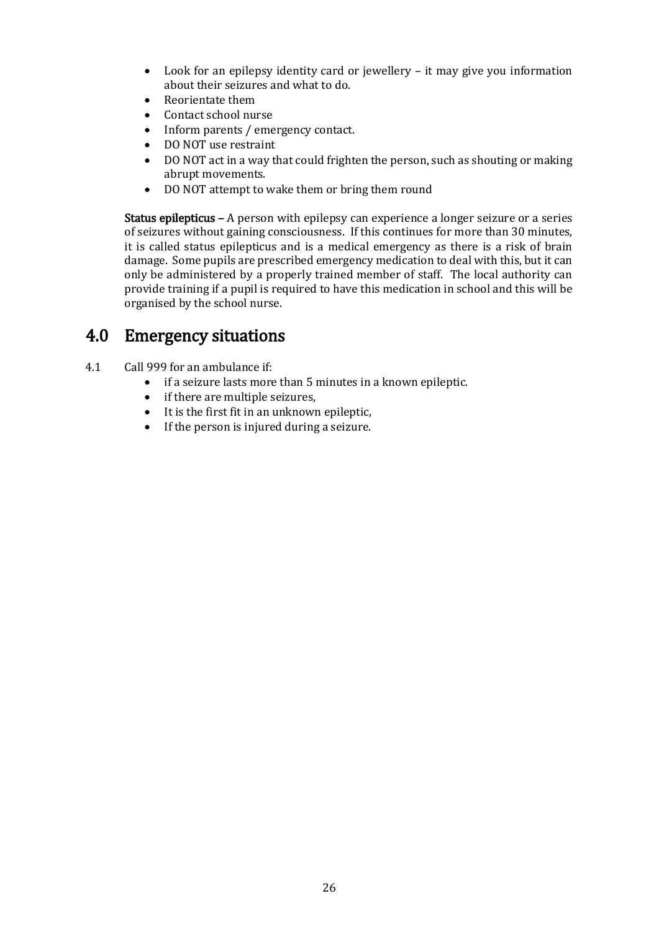- Look for an epilepsy identity card or jewellery it may give you information about their seizures and what to do.
- Reorientate them
- Contact school nurse
- Inform parents / emergency contact.
- DO NOT use restraint
- DO NOT act in a way that could frighten the person, such as shouting or making abrupt movements.
- DO NOT attempt to wake them or bring them round

Status epilepticus – A person with epilepsy can experience a longer seizure or a series of seizures without gaining consciousness. If this continues for more than 30 minutes, it is called status epilepticus and is a medical emergency as there is a risk of brain damage. Some pupils are prescribed emergency medication to deal with this, but it can only be administered by a properly trained member of staff. The local authority can provide training if a pupil is required to have this medication in school and this will be organised by the school nurse.

### 4.0 Emergency situations

- 4.1 Call 999 for an ambulance if:
	- if a seizure lasts more than 5 minutes in a known epileptic.
	- if there are multiple seizures,
	- $\bullet$  It is the first fit in an unknown epileptic,
	- If the person is injured during a seizure.